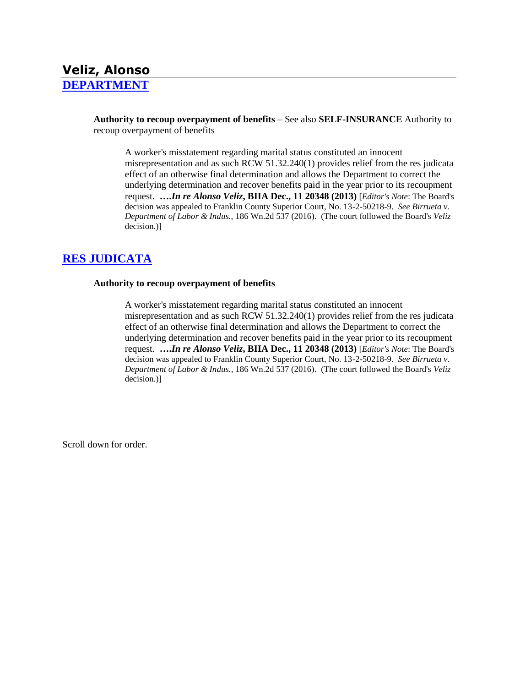# **Veliz, Alonso [DEPARTMENT](http://www.biia.wa.gov/SDSubjectIndex.html#DEPARTMENT)**

**Authority to recoup overpayment of benefits** – See also **SELF-INSURANCE** Authority to recoup overpayment of benefits

A worker's misstatement regarding marital status constituted an innocent misrepresentation and as such RCW 51.32.240(1) provides relief from the res judicata effect of an otherwise final determination and allows the Department to correct the underlying determination and recover benefits paid in the year prior to its recoupment request. **….***In re Alonso Veliz***, BIIA Dec., 11 20348 (2013)** [*Editor's Note*: The Board's decision was appealed to Franklin County Superior Court, No. 13-2-50218-9. *See Birrueta v. Department of Labor & Indus.,* 186 Wn.2d 537 (2016). (The court followed the Board's *Veliz*  decision.)]

# **[RES JUDICATA](http://www.biia.wa.gov/SDSubjectIndex.html#RES_JUDICATA)**

#### **Authority to recoup overpayment of benefits**

A worker's misstatement regarding marital status constituted an innocent misrepresentation and as such RCW 51.32.240(1) provides relief from the res judicata effect of an otherwise final determination and allows the Department to correct the underlying determination and recover benefits paid in the year prior to its recoupment request. **….***In re Alonso Veliz***, BIIA Dec., 11 20348 (2013)** [*Editor's Note*: The Board's decision was appealed to Franklin County Superior Court, No. 13-2-50218-9. *See Birrueta v. Department of Labor & Indus.*, 186 Wn.2d 537 (2016). (The court followed the Board's *Veliz*  decision.)]

Scroll down for order.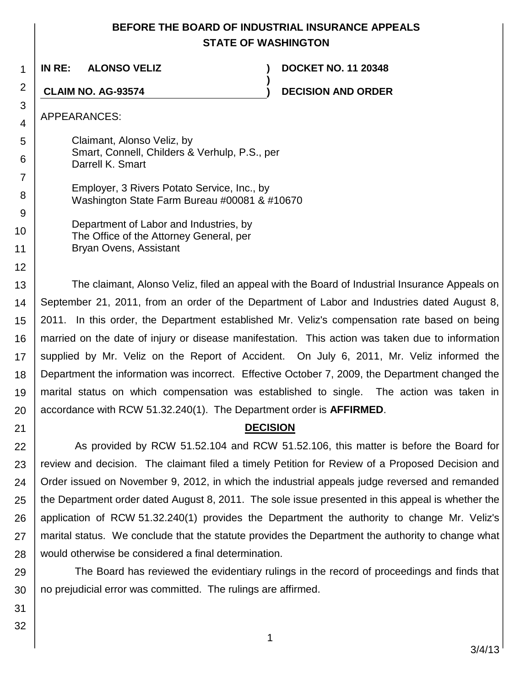# **BEFORE THE BOARD OF INDUSTRIAL INSURANCE APPEALS STATE OF WASHINGTON**

**)**

1 **IN RE: ALONSO VELIZ ) DOCKET NO. 11 20348**

**CLAIM NO. AG-93574 ) DECISION AND ORDER**

APPEARANCES:

2

3 4

5

6

7

8 9

10

11

12

21

Claimant, Alonso Veliz, by Smart, Connell, Childers & Verhulp, P.S., per Darrell K. Smart

Employer, 3 Rivers Potato Service, Inc., by Washington State Farm Bureau #00081 & #10670

Department of Labor and Industries, by The Office of the Attorney General, per Bryan Ovens, Assistant

13 14 15 16 17 18 19 20 The claimant, Alonso Veliz, filed an appeal with the Board of Industrial Insurance Appeals on September 21, 2011, from an order of the Department of Labor and Industries dated August 8, 2011. In this order, the Department established Mr. Veliz's compensation rate based on being married on the date of injury or disease manifestation. This action was taken due to information supplied by Mr. Veliz on the Report of Accident. On July 6, 2011, Mr. Veliz informed the Department the information was incorrect. Effective October 7, 2009, the Department changed the marital status on which compensation was established to single. The action was taken in accordance with RCW 51.32.240(1). The Department order is **AFFIRMED**.

# **DECISION**

22 23 24 25 26 27 28 As provided by RCW 51.52.104 and RCW 51.52.106, this matter is before the Board for review and decision. The claimant filed a timely Petition for Review of a Proposed Decision and Order issued on November 9, 2012, in which the industrial appeals judge reversed and remanded the Department order dated August 8, 2011. The sole issue presented in this appeal is whether the application of RCW 51.32.240(1) provides the Department the authority to change Mr. Veliz's marital status. We conclude that the statute provides the Department the authority to change what would otherwise be considered a final determination.

29 30 The Board has reviewed the evidentiary rulings in the record of proceedings and finds that no prejudicial error was committed. The rulings are affirmed.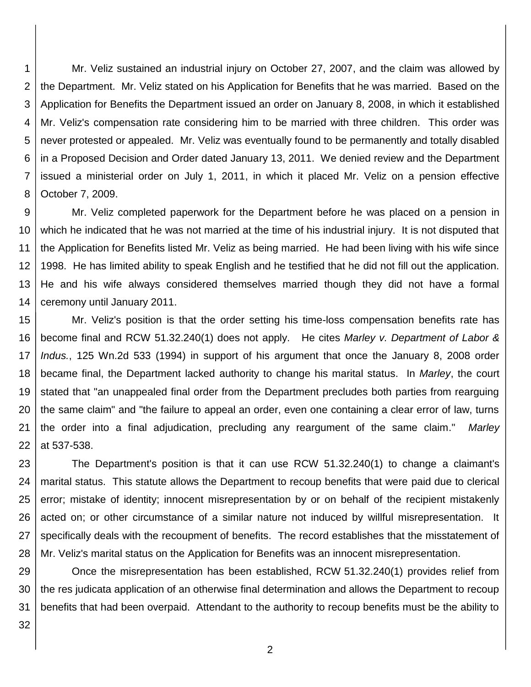1 2 3 4 5 6 7 8 Mr. Veliz sustained an industrial injury on October 27, 2007, and the claim was allowed by the Department. Mr. Veliz stated on his Application for Benefits that he was married. Based on the Application for Benefits the Department issued an order on January 8, 2008, in which it established Mr. Veliz's compensation rate considering him to be married with three children. This order was never protested or appealed. Mr. Veliz was eventually found to be permanently and totally disabled in a Proposed Decision and Order dated January 13, 2011. We denied review and the Department issued a ministerial order on July 1, 2011, in which it placed Mr. Veliz on a pension effective October 7, 2009.

9 10 11 12 13 14 Mr. Veliz completed paperwork for the Department before he was placed on a pension in which he indicated that he was not married at the time of his industrial injury. It is not disputed that the Application for Benefits listed Mr. Veliz as being married. He had been living with his wife since 1998. He has limited ability to speak English and he testified that he did not fill out the application. He and his wife always considered themselves married though they did not have a formal ceremony until January 2011.

15 16 17 18 19 20 21 22 Mr. Veliz's position is that the order setting his time-loss compensation benefits rate has become final and RCW 51.32.240(1) does not apply. He cites *Marley v. Department of Labor & Indus.*, 125 Wn.2d 533 (1994) in support of his argument that once the January 8, 2008 order became final, the Department lacked authority to change his marital status. In *Marley*, the court stated that "an unappealed final order from the Department precludes both parties from rearguing the same claim" and "the failure to appeal an order, even one containing a clear error of law, turns the order into a final adjudication, precluding any reargument of the same claim." *Marley*  at 537-538.

23 24 25 26 27 28 The Department's position is that it can use RCW 51.32.240(1) to change a claimant's marital status. This statute allows the Department to recoup benefits that were paid due to clerical error; mistake of identity; innocent misrepresentation by or on behalf of the recipient mistakenly acted on; or other circumstance of a similar nature not induced by willful misrepresentation. It specifically deals with the recoupment of benefits. The record establishes that the misstatement of Mr. Veliz's marital status on the Application for Benefits was an innocent misrepresentation.

29 30 31 Once the misrepresentation has been established, RCW 51.32.240(1) provides relief from the res judicata application of an otherwise final determination and allows the Department to recoup benefits that had been overpaid. Attendant to the authority to recoup benefits must be the ability to

32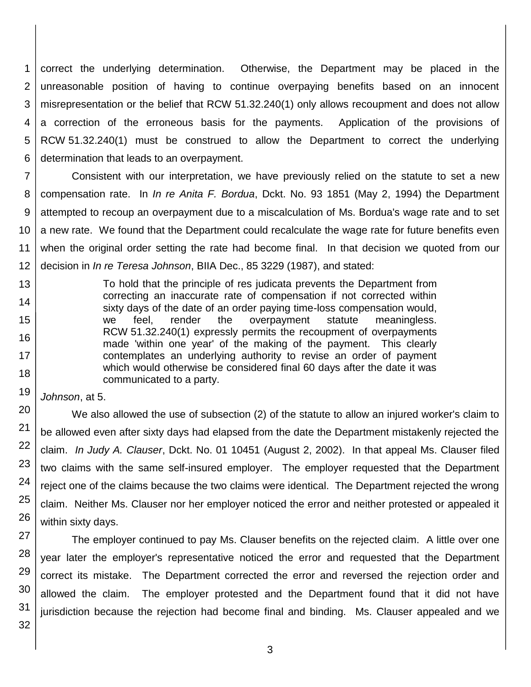1 2 3 4 5 6 correct the underlying determination. Otherwise, the Department may be placed in the unreasonable position of having to continue overpaying benefits based on an innocent misrepresentation or the belief that RCW 51.32.240(1) only allows recoupment and does not allow a correction of the erroneous basis for the payments. Application of the provisions of RCW 51.32.240(1) must be construed to allow the Department to correct the underlying determination that leads to an overpayment.

7 8 9 10 11 12 Consistent with our interpretation, we have previously relied on the statute to set a new compensation rate. In *In re Anita F. Bordua*, Dckt. No. 93 1851 (May 2, 1994) the Department attempted to recoup an overpayment due to a miscalculation of Ms. Bordua's wage rate and to set a new rate. We found that the Department could recalculate the wage rate for future benefits even when the original order setting the rate had become final. In that decision we quoted from our decision in *In re Teresa Johnson*, BIIA Dec., 85 3229 (1987), and stated:

> To hold that the principle of res judicata prevents the Department from correcting an inaccurate rate of compensation if not corrected within sixty days of the date of an order paying time-loss compensation would, we feel, render the overpayment statute meaningless. RCW 51.32.240(1) expressly permits the recoupment of overpayments made 'within one year' of the making of the payment. This clearly contemplates an underlying authority to revise an order of payment which would otherwise be considered final 60 days after the date it was communicated to a party.

*Johnson*, at 5.

13

14

15

16

17

18

19

20

21

22

23

24

25

26

We also allowed the use of subsection (2) of the statute to allow an injured worker's claim to be allowed even after sixty days had elapsed from the date the Department mistakenly rejected the claim. *In Judy A. Clauser*, Dckt. No. 01 10451 (August 2, 2002). In that appeal Ms. Clauser filed two claims with the same self-insured employer. The employer requested that the Department reject one of the claims because the two claims were identical. The Department rejected the wrong claim. Neither Ms. Clauser nor her employer noticed the error and neither protested or appealed it within sixty days.

27 28 29 30 The employer continued to pay Ms. Clauser benefits on the rejected claim. A little over one year later the employer's representative noticed the error and requested that the Department correct its mistake. The Department corrected the error and reversed the rejection order and allowed the claim. The employer protested and the Department found that it did not have jurisdiction because the rejection had become final and binding. Ms. Clauser appealed and we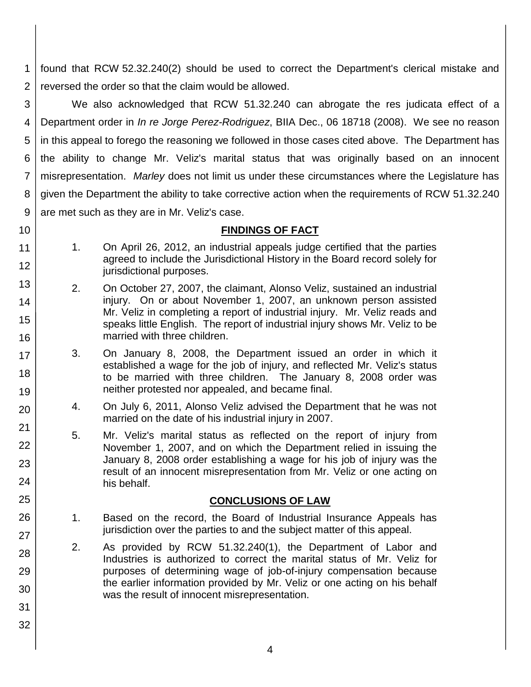1 2 found that RCW 52.32.240(2) should be used to correct the Department's clerical mistake and reversed the order so that the claim would be allowed.

3 4 5 6 7 8 9 We also acknowledged that RCW 51.32.240 can abrogate the res judicata effect of a Department order in *In re Jorge Perez-Rodriguez*, BIIA Dec., 06 18718 (2008). We see no reason in this appeal to forego the reasoning we followed in those cases cited above. The Department has the ability to change Mr. Veliz's marital status that was originally based on an innocent misrepresentation. *Marley* does not limit us under these circumstances where the Legislature has given the Department the ability to take corrective action when the requirements of RCW 51.32.240 are met such as they are in Mr. Veliz's case.

- 10
- 11

12

13

14

15

16

17

18

19

20

21

22

23

24

25

26

27

28

29

30

#### **FINDINGS OF FACT**

- 1. On April 26, 2012, an industrial appeals judge certified that the parties agreed to include the Jurisdictional History in the Board record solely for jurisdictional purposes.
	- 2. On October 27, 2007, the claimant, Alonso Veliz, sustained an industrial injury. On or about November 1, 2007, an unknown person assisted Mr. Veliz in completing a report of industrial injury. Mr. Veliz reads and speaks little English. The report of industrial injury shows Mr. Veliz to be married with three children.
	- 3. On January 8, 2008, the Department issued an order in which it established a wage for the job of injury, and reflected Mr. Veliz's status to be married with three children. The January 8, 2008 order was neither protested nor appealed, and became final.
	- 4. On July 6, 2011, Alonso Veliz advised the Department that he was not married on the date of his industrial injury in 2007.
	- 5. Mr. Veliz's marital status as reflected on the report of injury from November 1, 2007, and on which the Department relied in issuing the January 8, 2008 order establishing a wage for his job of injury was the result of an innocent misrepresentation from Mr. Veliz or one acting on his behalf.

#### **CONCLUSIONS OF LAW**

- 1. Based on the record, the Board of Industrial Insurance Appeals has jurisdiction over the parties to and the subject matter of this appeal.
- 2. As provided by RCW 51.32.240(1), the Department of Labor and Industries is authorized to correct the marital status of Mr. Veliz for purposes of determining wage of job-of-injury compensation because the earlier information provided by Mr. Veliz or one acting on his behalf was the result of innocent misrepresentation.
- 31 32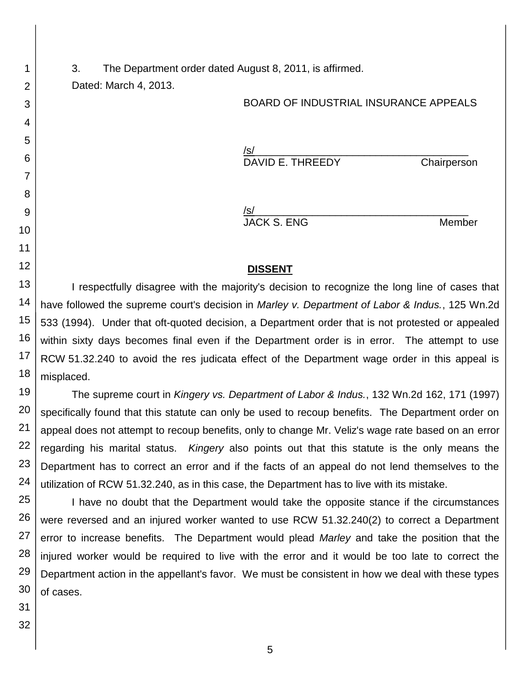3. The Department order dated August 8, 2011, is affirmed.

Dated: March 4, 2013.

1

2

3

4

5

6

7

8

9

10

11

12

#### BOARD OF INDUSTRIAL INSURANCE APPEALS

/s/\_\_\_\_\_\_\_\_\_\_\_\_\_\_\_\_\_\_\_\_\_\_\_\_\_\_\_\_\_\_\_\_\_\_\_\_\_ DAVID E. THREEDY Chairperson

/s/\_\_\_\_\_\_\_\_\_\_\_\_\_\_\_\_\_\_\_\_\_\_\_\_\_\_\_\_\_\_\_\_\_\_\_\_\_ JACK S. ENG Member

### **DISSENT**

13 14 15 16 17 18 I respectfully disagree with the majority's decision to recognize the long line of cases that have followed the supreme court's decision in *Marley v. Department of Labor & Indus.*, 125 Wn.2d 533 (1994). Under that oft-quoted decision, a Department order that is not protested or appealed within sixty days becomes final even if the Department order is in error. The attempt to use RCW 51.32.240 to avoid the res judicata effect of the Department wage order in this appeal is misplaced.

19 20 21 22 23 24 The supreme court in *Kingery vs. Department of Labor & Indus.*, 132 Wn.2d 162, 171 (1997) specifically found that this statute can only be used to recoup benefits. The Department order on appeal does not attempt to recoup benefits, only to change Mr. Veliz's wage rate based on an error regarding his marital status. *Kingery* also points out that this statute is the only means the Department has to correct an error and if the facts of an appeal do not lend themselves to the utilization of RCW 51.32.240, as in this case, the Department has to live with its mistake.

25 26 27 28 29 30 I have no doubt that the Department would take the opposite stance if the circumstances were reversed and an injured worker wanted to use RCW 51.32.240(2) to correct a Department error to increase benefits. The Department would plead *Marley* and take the position that the injured worker would be required to live with the error and it would be too late to correct the Department action in the appellant's favor. We must be consistent in how we deal with these types of cases.